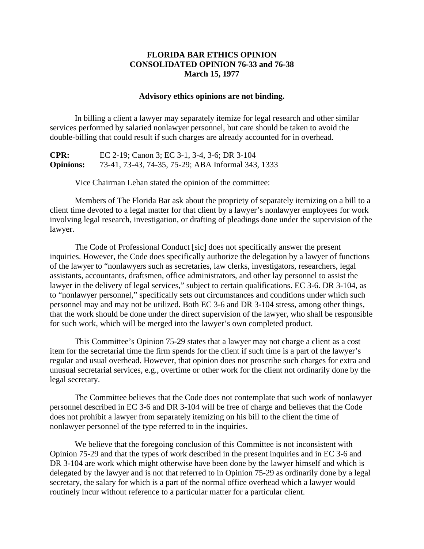## **FLORIDA BAR ETHICS OPINION CONSOLIDATED OPINION 76-33 and 76-38 March 15, 1977**

## **Advisory ethics opinions are not binding.**

In billing a client a lawyer may separately itemize for legal research and other similar services performed by salaried nonlawyer personnel, but care should be taken to avoid the double-billing that could result if such charges are already accounted for in overhead.

**CPR:** EC 2-19; Canon 3; EC 3-1, 3-4, 3-6; DR 3-104 **Opinions:** 73-41, 73-43, 74-35, 75-29; ABA Informal 343, 1333

Vice Chairman Lehan stated the opinion of the committee:

Members of The Florida Bar ask about the propriety of separately itemizing on a bill to a client time devoted to a legal matter for that client by a lawyer's nonlawyer employees for work involving legal research, investigation, or drafting of pleadings done under the supervision of the lawyer.

The Code of Professional Conduct [sic] does not specifically answer the present inquiries. However, the Code does specifically authorize the delegation by a lawyer of functions of the lawyer to "nonlawyers such as secretaries, law clerks, investigators, researchers, legal assistants, accountants, draftsmen, office administrators, and other lay personnel to assist the lawyer in the delivery of legal services," subject to certain qualifications. EC 3-6. DR 3-104, as to "nonlawyer personnel," specifically sets out circumstances and conditions under which such personnel may and may not be utilized. Both EC 3-6 and DR 3-104 stress, among other things, that the work should be done under the direct supervision of the lawyer, who shall be responsible for such work, which will be merged into the lawyer's own completed product.

This Committee's Opinion 75-29 states that a lawyer may not charge a client as a cost item for the secretarial time the firm spends for the client if such time is a part of the lawyer's regular and usual overhead. However, that opinion does not proscribe such charges for extra and unusual secretarial services, e.g., overtime or other work for the client not ordinarily done by the legal secretary.

The Committee believes that the Code does not contemplate that such work of nonlawyer personnel described in EC 3-6 and DR 3-104 will be free of charge and believes that the Code does not prohibit a lawyer from separately itemizing on his bill to the client the time of nonlawyer personnel of the type referred to in the inquiries.

We believe that the foregoing conclusion of this Committee is not inconsistent with Opinion 75-29 and that the types of work described in the present inquiries and in EC 3-6 and DR 3-104 are work which might otherwise have been done by the lawyer himself and which is delegated by the lawyer and is not that referred to in Opinion 75-29 as ordinarily done by a legal secretary, the salary for which is a part of the normal office overhead which a lawyer would routinely incur without reference to a particular matter for a particular client.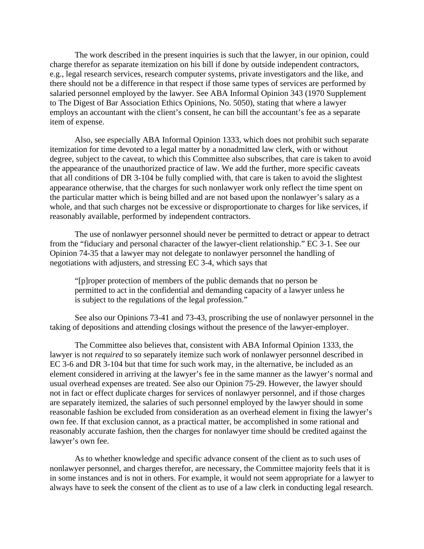The work described in the present inquiries is such that the lawyer, in our opinion, could charge therefor as separate itemization on his bill if done by outside independent contractors, e.g., legal research services, research computer systems, private investigators and the like, and there should not be a difference in that respect if those same types of services are performed by salaried personnel employed by the lawyer. See ABA Informal Opinion 343 (1970 Supplement to The Digest of Bar Association Ethics Opinions, No. 5050), stating that where a lawyer employs an accountant with the client's consent, he can bill the accountant's fee as a separate item of expense.

Also, see especially ABA Informal Opinion 1333, which does not prohibit such separate itemization for time devoted to a legal matter by a nonadmitted law clerk, with or without degree, subject to the caveat, to which this Committee also subscribes, that care is taken to avoid the appearance of the unauthorized practice of law. We add the further, more specific caveats that all conditions of DR 3-104 be fully complied with, that care is taken to avoid the slightest appearance otherwise, that the charges for such nonlawyer work only reflect the time spent on the particular matter which is being billed and are not based upon the nonlawyer's salary as a whole, and that such charges not be excessive or disproportionate to charges for like services, if reasonably available, performed by independent contractors.

The use of nonlawyer personnel should never be permitted to detract or appear to detract from the "fiduciary and personal character of the lawyer-client relationship." EC 3-1. See our Opinion 74-35 that a lawyer may not delegate to nonlawyer personnel the handling of negotiations with adjusters, and stressing EC 3-4, which says that

"[p]roper protection of members of the public demands that no person be permitted to act in the confidential and demanding capacity of a lawyer unless he is subject to the regulations of the legal profession."

See also our Opinions 73-41 and 73-43, proscribing the use of nonlawyer personnel in the taking of depositions and attending closings without the presence of the lawyer-employer.

The Committee also believes that, consistent with ABA Informal Opinion 1333, the lawyer is not *required* to so separately itemize such work of nonlawyer personnel described in EC 3-6 and DR 3-104 but that time for such work may, in the alternative, be included as an element considered in arriving at the lawyer's fee in the same manner as the lawyer's normal and usual overhead expenses are treated. See also our Opinion 75-29. However, the lawyer should not in fact or effect duplicate charges for services of nonlawyer personnel, and if those charges are separately itemized, the salaries of such personnel employed by the lawyer should in some reasonable fashion be excluded from consideration as an overhead element in fixing the lawyer's own fee. If that exclusion cannot, as a practical matter, be accomplished in some rational and reasonably accurate fashion, then the charges for nonlawyer time should be credited against the lawyer's own fee.

As to whether knowledge and specific advance consent of the client as to such uses of nonlawyer personnel, and charges therefor, are necessary, the Committee majority feels that it is in some instances and is not in others. For example, it would not seem appropriate for a lawyer to always have to seek the consent of the client as to use of a law clerk in conducting legal research.